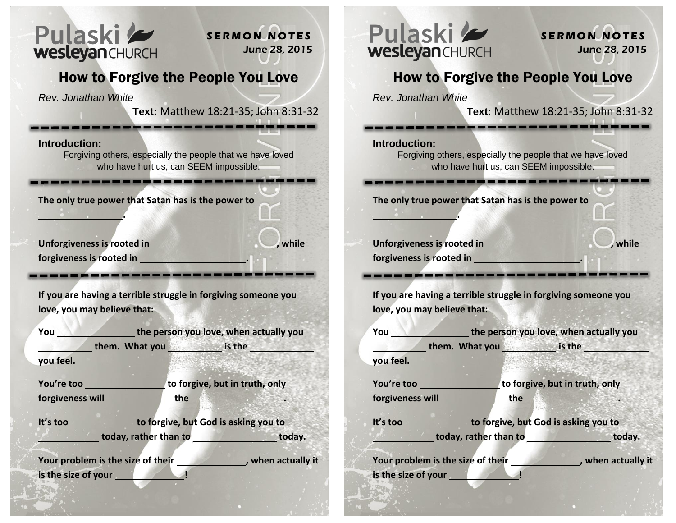

**S E R M O N N O T E S** June 28, 2015

## How to Forgive the People You Love

*Rev. Jonathan White*

 **.** 

**Text:** Matthew 18:21-35; John 8:31-32

**Introduction:** 

Forgiving others, especially the people that we have loved who have hurt us, can SEEM impossible.

**The only true power that Satan has is the power to** 

Unforgiveness is rooted in **the contract of the contract of the contract of the contract of the contract of the contract of the contract of the contract of the contract of the contract of the contract of the contract of th forgiveness is rooted in .** 

**If you are having a terrible struggle in forgiving someone you love, you may believe that:** 

| You                 | the person you love, when actually you                 |     |                                |        |
|---------------------|--------------------------------------------------------|-----|--------------------------------|--------|
|                     | them. What you                                         |     |                                |        |
| you feel.           |                                                        |     |                                |        |
| You're too          |                                                        |     | to forgive, but in truth, only |        |
| forgiveness will    |                                                        | the |                                |        |
| It's too            | <b>Example 10 to forgive, but God is asking you to</b> |     |                                |        |
|                     | today, rather than to                                  |     |                                | today. |
|                     | Your problem is the size of their                      |     | , when actually it             |        |
| is the size of your |                                                        |     |                                |        |